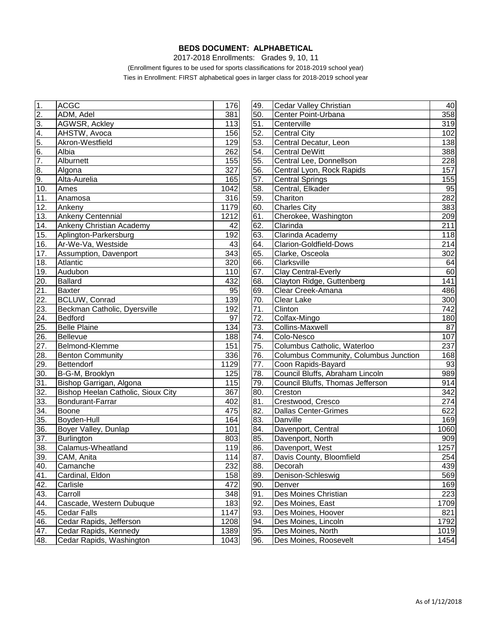## **BEDS DOCUMENT: ALPHABETICAL**

2017-2018 Enrollments: Grades 9, 10, 11

(Enrollment figures to be used for sports classifications for 2018-2019 school year) Ties in Enrollment: FIRST alphabetical goes in larger class for 2018-2019 school year

| 1.                    | <b>ACGC</b>                        | 176  | 49. | Cedar Valley Christian                | 40         |
|-----------------------|------------------------------------|------|-----|---------------------------------------|------------|
| 2.                    | ADM, Adel                          | 381  | 50. | Center Point-Urbana                   |            |
| $\overline{3}$ .      | AGWSR, Ackley                      | 113  | 51. | Centerville                           |            |
|                       | AHSTW, Avoca                       | 156  | 52. | <b>Central City</b>                   |            |
| $\frac{4}{5}$ .<br>6. | Akron-Westfield                    | 129  | 53. | Central Decatur, Leon                 |            |
|                       | Albia                              | 262  | 54. | <b>Central DeWitt</b>                 | 138<br>388 |
| 7.                    | Alburnett                          | 155  | 55. | Central Lee, Donnellson               | 228        |
| 8.                    | Algona                             | 327  | 56. | Central Lyon, Rock Rapids             | 157        |
| 9.                    | Alta-Aurelia                       | 165  | 57. | <b>Central Springs</b>                | 155        |
| 10.                   | Ames                               | 1042 | 58. | Central, Elkader                      | 95         |
| 11.                   | Anamosa                            | 316  | 59. | Chariton                              | 282        |
| 12.                   | Ankeny                             | 1179 | 60. | Charles City                          | 383        |
| 13.                   | <b>Ankeny Centennial</b>           | 1212 | 61. | Cherokee, Washington                  | 209        |
| 14.                   | Ankeny Christian Academy           | 42   | 62. | Clarinda                              | 211        |
| 15.                   | Aplington-Parkersburg              | 192  | 63. | Clarinda Academy                      | 118        |
| 16.                   | Ar-We-Va, Westside                 | 43   | 64. | <b>Clarion-Goldfield-Dows</b>         | 214        |
| 17.                   | Assumption, Davenport              | 343  | 65. | Clarke, Osceola                       | 302        |
| 18.                   | Atlantic                           | 320  | 66. | Clarksville                           | 64         |
| 19.                   | Audubon                            | 110  | 67. | Clay Central-Everly                   | 60         |
| 20.                   | <b>Ballard</b>                     | 432  | 68. | Clayton Ridge, Guttenberg             | 141        |
| 21.                   | <b>Baxter</b>                      | 95   | 69. | Clear Creek-Amana                     | 486        |
| $\overline{22}$ .     | <b>BCLUW, Conrad</b>               | 139  | 70. | Clear Lake                            | 300        |
| 23.                   | Beckman Catholic, Dyersville       | 192  | 71. | Clinton                               | 742        |
| 24.                   | <b>Bedford</b>                     | 97   | 72. | Colfax-Mingo                          | 180        |
| $\overline{25}$ .     | <b>Belle Plaine</b>                | 134  | 73. | Collins-Maxwell                       | 87         |
| 26.                   | Bellevue                           | 188  | 74. | Colo-Nesco                            | 107        |
| 27.                   | Belmond-Klemme                     | 151  | 75. | Columbus Catholic, Waterloo           | 237        |
| 28.                   | <b>Benton Community</b>            | 336  | 76. | Columbus Community, Columbus Junction | 168        |
| 29.                   | Bettendorf                         | 1129 | 77. | Coon Rapids-Bayard                    | 93         |
| 30.                   | B-G-M, Brooklyn                    | 125  | 78. | Council Bluffs, Abraham Lincoln       | 989        |
| 31.                   | Bishop Garrigan, Algona            | 115  | 79. | Council Bluffs, Thomas Jefferson      | 914        |
| 32.                   | Bishop Heelan Catholic, Sioux City | 367  | 80. | Creston                               | 342        |
| 33.                   | Bondurant-Farrar                   | 402  | 81. | Crestwood, Cresco                     | 274        |
| 34.                   | Boone                              | 475  | 82. | <b>Dallas Center-Grimes</b>           | 622        |
| 35.                   | Boyden-Hull                        | 164  | 83. | Danville                              | 169        |
| 36.                   | Boyer Valley, Dunlap               | 101  | 84. | Davenport, Central                    | 1060       |
| 37.                   | Burlington                         | 803  | 85. | Davenport, North                      | 909        |
| 38.                   | Calamus-Wheatland                  | 119  | 86. | Davenport, West                       | 1257       |
| 39.                   | CAM, Anita                         | 114  | 87. | Davis County, Bloomfield              | 254        |
| 40.                   | Camanche                           | 232  | 88. | Decorah                               | 439        |
| <u>41.</u>            | Cardinal, Eldon                    | 158  | 89. | Denison-Schleswig                     | 569        |
| 42.                   | Carlisle                           | 472  | 90. | Denver                                | 169        |
| 43.                   | Carroll                            | 348  | 91. | Des Moines Christian                  | 223        |
| 44.                   | Cascade, Western Dubuque           | 183  | 92. | Des Moines, East                      | 1709       |
| 45.                   | <b>Cedar Falls</b>                 | 1147 | 93. | Des Moines, Hoover                    | 821        |
| 46.                   | Cedar Rapids, Jefferson            | 1208 | 94. | Des Moines, Lincoln                   | 1792       |
| 47.                   | Cedar Rapids, Kennedy              | 1389 | 95. | Des Moines, North                     | 1019       |
| 48.                   | Cedar Rapids, Washington           | 1043 | 96. | Des Moines, Roosevelt                 | 1454       |
|                       |                                    |      |     |                                       |            |

| 1.                | <b>ACGC</b>                        | 176  | 49. | Cedar Valley Christian                | 40               |
|-------------------|------------------------------------|------|-----|---------------------------------------|------------------|
| <u>2.</u>         | ADM, Adel                          | 381  | 50. | Center Point-Urbana                   | 358              |
| 3.                | AGWSR, Ackley                      | 113  | 51. | Centerville                           |                  |
| 4.                | AHSTW, Avoca                       | 156  | 52. | <b>Central City</b>                   | 102              |
|                   | Akron-Westfield                    | 129  | 53. | Central Decatur, Leon                 | 138              |
| $\frac{5}{6}$     | Albia                              | 262  | 54. | <b>Central DeWitt</b>                 | 388              |
| 7.                | Alburnett                          | 155  | 55. | Central Lee, Donnellson               | 228              |
| 8.                | Algona                             | 327  | 56. | Central Lyon, Rock Rapids             | 157              |
| 9.                | Alta-Aurelia                       | 165  | 57. | <b>Central Springs</b>                | 155              |
| 10.               | Ames                               | 1042 | 58. | Central, Elkader                      | 95               |
| 11.               | Anamosa                            | 316  | 59. | Chariton                              | 282              |
| 12.               | Ankeny                             | 1179 | 60. | <b>Charles City</b>                   | 383              |
| 13.               | Ankeny Centennial                  | 1212 | 61. | Cherokee, Washington                  | 209              |
| 14.               | Ankeny Christian Academy           | 42   | 62. | Clarinda                              | $\overline{211}$ |
| 15.               | Aplington-Parkersburg              | 192  | 63. | Clarinda Academy                      | 118              |
| 16.               | Ar-We-Va, Westside                 | 43   | 64. | <b>Clarion-Goldfield-Dows</b>         | 214              |
| 17.               | Assumption, Davenport              | 343  | 65. | Clarke, Osceola                       | 302              |
| 18.               | Atlantic                           | 320  | 66. | Clarksville                           | 64               |
| 19.               | Audubon                            | 110  | 67. | Clay Central-Everly                   | 60               |
| 20.               | <b>Ballard</b>                     | 432  | 68. | Clayton Ridge, Guttenberg             | 141              |
| $\overline{21}$ . | <b>Baxter</b>                      | 95   | 69. | Clear Creek-Amana                     | 486              |
| 22.               | <b>BCLUW, Conrad</b>               | 139  | 70. | Clear Lake                            | $\overline{300}$ |
| 23.               | Beckman Catholic, Dyersville       | 192  | 71. | Clinton                               | 742              |
| 24.               | <b>Bedford</b>                     | 97   | 72. | Colfax-Mingo                          | 180              |
| 25.               | <b>Belle Plaine</b>                | 134  | 73. | <b>Collins-Maxwell</b>                | 87               |
| <u>26.</u>        | <b>Bellevue</b>                    | 188  | 74. | Colo-Nesco                            | 107              |
| <u>27.</u>        | Belmond-Klemme                     | 151  | 75. | Columbus Catholic, Waterloo           | 237              |
| 28.               | <b>Benton Community</b>            | 336  | 76. | Columbus Community, Columbus Junction | 168              |
| <u>29.</u>        | Bettendorf                         | 1129 | 77. | Coon Rapids-Bayard                    | 93               |
| 30.               | B-G-M, Brooklyn                    | 125  | 78. | Council Bluffs, Abraham Lincoln       | 989              |
| 31.               | Bishop Garrigan, Algona            | 115  | 79. | Council Bluffs, Thomas Jefferson      | 914              |
| 32.               | Bishop Heelan Catholic, Sioux City | 367  | 80. | Creston                               | 342              |
| 33.               | Bondurant-Farrar                   | 402  | 81. | Crestwood, Cresco                     | 274              |
| 34.               | Boone                              | 475  | 82. | <b>Dallas Center-Grimes</b>           | 622              |
| 35.               | Boyden-Hull                        | 164  | 83. | Danville                              | 169              |
| 36.               | Boyer Valley, Dunlap               | 101  | 84. | Davenport, Central                    | 1060             |
| 37.               | <b>Burlington</b>                  | 803  | 85. | Davenport, North                      | 909              |
| 38.               | Calamus-Wheatland                  | 119  | 86. | Davenport, West                       | 1257             |
| 39.               | CAM, Anita                         | 114  | 87. | Davis County, Bloomfield              | 254              |
| 40.               | Camanche                           | 232  | 88. | Decorah                               | 439              |
| <u>41.</u>        | Cardinal, Eldon                    | 158  | 89. | Denison-Schleswig                     | 569              |
| 42.               | Carlisle                           | 472  | 90. | Denver                                | 169              |
| 43.               | Carroll                            | 348  | 91. | Des Moines Christian                  | 223              |
| 44.               | Cascade, Western Dubuque           | 183  | 92. | Des Moines, East                      | 1709             |
| 45.               | <b>Cedar Falls</b>                 | 1147 | 93. | Des Moines, Hoover                    | 821              |
| 46.               | Cedar Rapids, Jefferson            | 1208 | 94. | Des Moines, Lincoln                   | 1792             |
| 47.               | Cedar Rapids, Kennedy              | 1389 | 95. | Des Moines, North                     | 1019             |
| 48.               | Cedar Rapids, Washington           | 1043 | 96. | Des Moines, Roosevelt                 | 1454             |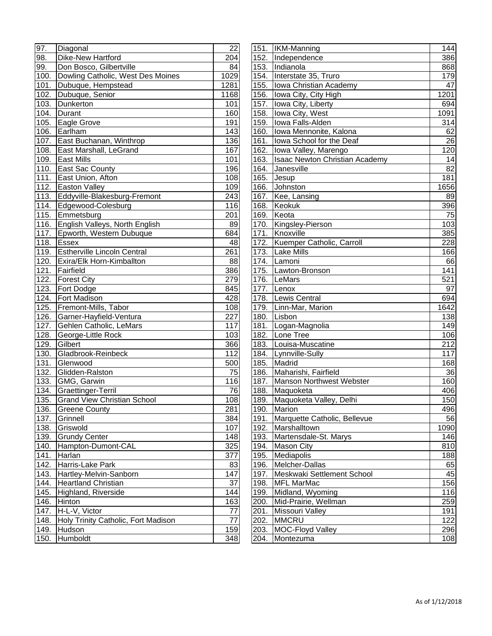| 97.                | Diagonal                            | 22         |
|--------------------|-------------------------------------|------------|
| 98.                | <b>Dike-New Hartford</b>            | 204        |
| 99.                | Don Bosco, Gilbertville             | 84         |
| 100.               | Dowling Catholic, West Des Moines   | 1029       |
| 101.               | Dubuque, Hempstead                  | 1281       |
| $\overline{102}$ . | Dubuque, Senior                     | 1168       |
| 103.               | Dunkerton                           | 101        |
| 104.               | Durant                              | 160        |
| 105.               | Eagle Grove                         | 191        |
| 106.               | Earlham                             | 143        |
| 107.               | East Buchanan, Winthrop             | 136        |
| 108.               | East Marshall, LeGrand              | 167        |
| 109.               | <b>East Mills</b>                   | 101        |
| 110.               | East Sac County                     | 196        |
| $\overline{1}11.$  | East Union, Afton                   | 108        |
| 112.               | Easton Valley                       | 109        |
| 113.               | Eddyville-Blakesburg-Fremont        | 243        |
| 114.               | Edgewood-Colesburg                  | 116        |
| 115.               | Emmetsburg                          | 201        |
| 116.               | English Valleys, North English      | 89         |
| $\overline{1}17.$  | Epworth, Western Dubuque            | 684        |
| 118.               | <b>Essex</b>                        | 48         |
| 119.               | <b>Estherville Lincoln Central</b>  | 261        |
| 120.               | Exira/Elk Horn-Kimballton           | 88         |
| 121.               | Fairfield                           | 386        |
| 122.               | <b>Forest City</b>                  | 279        |
| 123.               | Fort Dodge                          | 845        |
| 124.               | Fort Madison                        | 428        |
| 125.               | Fremont-Mills, Tabor                |            |
| 126.               | Garner-Hayfield-Ventura             | 108<br>227 |
| 127.               | Gehlen Catholic, LeMars             | 117        |
| 128.               | George-Little Rock                  | 103        |
| 129.               | Gilbert                             | 366        |
| 130.               | Gladbrook-Reinbeck                  | 112        |
| 131.               | Glenwood                            | 500        |
|                    | Glidden-Ralston                     |            |
| 132.               |                                     | 75         |
| 133.<br>134.       | GMG, Garwin                         | 116        |
|                    | Graettinger-Terril                  | 76         |
| 135.               | <b>Grand View Christian School</b>  | 108        |
| 136.               | <b>Greene County</b>                | 281        |
| 137.               | Grinnell                            | 384        |
| 138.               | Griswold                            | 107        |
| 139.               | <b>Grundy Center</b>                | 148        |
| 140.               | Hampton-Dumont-CAL                  | 325        |
| 141.               | Harlan                              | 377        |
| 142.               | Harris-Lake Park                    | 83         |
| 143.               | Hartley-Melvin-Sanborn              | 147        |
| 144.               | <b>Heartland Christian</b>          | 37         |
| 145.               | Highland, Riverside                 | 144        |
| 146.               | Hinton                              | 163        |
| 147.               | H-L-V, Victor                       | 77         |
| 148.               | Holy Trinity Catholic, Fort Madison | 77         |
| 149.               | Hudson                              | 159        |
| 150.               | Humboldt                            | 348        |

| 97.  | Diagonal                            | 22   |                      | 151. KM-Manning                 | 144        |
|------|-------------------------------------|------|----------------------|---------------------------------|------------|
| 98.  | <b>Dike-New Hartford</b>            | 204  | 152.<br>Independence |                                 | 386        |
| 99.  | Don Bosco, Gilbertville             | 84   |                      | 153. Indianola                  |            |
| 100. | Dowling Catholic, West Des Moines   | 1029 |                      | 154. Interstate 35, Truro       | 179        |
| 101. | Dubuque, Hempstead                  | 1281 |                      | 155. Iowa Christian Academy     | 47         |
| 102. | Dubuque, Senior                     | 1168 |                      | 156.   Iowa City, City High     | 1201       |
| 103. | Dunkerton                           | 101  | 157.                 | Iowa City, Liberty              | 694        |
| 104. | Durant                              | 160  | 158.                 | Iowa City, West                 | 1091       |
| 105. | Eagle Grove                         | 191  | 159.                 | Iowa Falls-Alden                | 314        |
|      | 106. Earlham                        | 143  | 160.                 | Iowa Mennonite, Kalona          | 62         |
|      | 107. East Buchanan, Winthrop        | 136  | 161.                 | Iowa School for the Deaf        | 26         |
|      | 108. East Marshall, LeGrand         | 167  | 162.                 | Iowa Valley, Marengo            | 120        |
|      | 109. East Mills                     | 101  | 163.                 | Isaac Newton Christian Academy  | 14         |
|      | 110. East Sac County                | 196  | 164.                 | Janesville                      | 82         |
| 111. | East Union, Afton                   | 108  | 165.                 | Jesup                           | 181        |
|      | 112. Easton Valley                  | 109  | 166.                 | Johnston                        | 1656       |
|      | 113. Eddyville-Blakesburg-Fremont   | 243  | 167.                 | Kee, Lansing                    | 89         |
|      | 114. Edgewood-Colesburg             | 116  | 168.                 | Keokuk                          | 396        |
|      | 115. Emmetsburg                     | 201  | 169.                 | Keota                           | 75         |
|      | 116. English Valleys, North English | 89   | 170.                 | Kingsley-Pierson                | 103        |
|      | 117. Epworth, Western Dubuque       | 684  | 171.                 | Knoxville                       | 385        |
| 118. | Essex                               | 48   | 172.                 | Kuemper Catholic, Carroll       | 228        |
|      | 119. Estherville Lincoln Central    | 261  |                      | 173. Lake Mills                 | 166        |
|      | 120. Exira/Elk Horn-Kimballton      | 88   |                      | 174. Lamoni                     | 66         |
|      | 121. Fairfield                      | 386  |                      | 175. Lawton-Bronson             |            |
|      |                                     |      |                      |                                 | 141<br>521 |
|      | 122. Forest City                    | 279  |                      | 176. LeMars<br>177. Lenox       |            |
| 123. | Fort Dodge                          | 845  |                      |                                 | 97         |
| 124. | <b>Fort Madison</b>                 | 428  |                      | 178. Lewis Central              | 694        |
| 125. | Fremont-Mills, Tabor                | 108  |                      | 179. Linn-Mar, Marion           | 1642       |
| 126. | Garner-Hayfield-Ventura             | 227  |                      | 180. Lisbon                     | 138        |
| 127. | Gehlen Catholic, LeMars             | 117  |                      | 181. Logan-Magnolia             | 149        |
| 128. | George-Little Rock                  | 103  |                      | 182. Lone Tree                  | 106        |
| 129. | Gilbert                             | 366  |                      | 183. Louisa-Muscatine           | 212        |
| 130. | Gladbrook-Reinbeck                  | 112  |                      | 184. Lynnville-Sully            | 117        |
|      | 131. Glenwood                       | 500  |                      | 185. Madrid                     | 168        |
|      | 132. Glidden-Ralston                | 75   | 186.                 | Maharishi, Fairfield            | 36         |
|      | 133. GMG, Garwin                    | 116  |                      | 187. Manson Northwest Webster   | 160        |
|      | 134. Graettinger-Terril             | 76   |                      | 188. Maquoketa                  | 406        |
|      | 135. Grand View Christian School    | 108  |                      | 189. Maquoketa Valley, Delhi    | 150        |
|      | 136. Greene County                  | 281  |                      | 190. Marion                     | 496        |
|      | 137. Grinnell                       | 384  | 191.                 | Marquette Catholic, Bellevue    | 56         |
|      | 138. Griswold                       | 107  |                      | 192. Marshalltown               | 1090       |
|      | 139. Grundy Center                  | 148  |                      | 193. Martensdale-St. Marys      | 146        |
| 140. | Hampton-Dumont-CAL                  | 325  |                      | 194. Mason City                 | 810        |
| 141. | Harlan                              | 377  |                      | 195. Mediapolis                 | 188        |
| 142. | Harris-Lake Park                    | 83   |                      | 196. Melcher-Dallas             | 65         |
| 143. | Hartley-Melvin-Sanborn              | 147  |                      | 197. Meskwaki Settlement School | 45         |
|      | 144. Heartland Christian            | 37   | 198.                 | <b>MFL MarMac</b>               | 156        |
| 145. | Highland, Riverside                 | 144  | 199.                 | Midland, Wyoming                | 116        |
| 146. | Hinton                              | 163  | 200.                 | Mid-Prairie, Wellman            | 259        |
| 147. | H-L-V, Victor                       | 77   | 201.                 | Missouri Valley                 | 191        |
| 148. | Holy Trinity Catholic, Fort Madison | 77   | 202.                 | <b>MMCRU</b>                    | 122        |
| 149. | Hudson                              | 159  | 203.                 | MOC-Floyd Valley                | 296        |
| 150. | Humboldt                            | 348  | 204.                 | Montezuma                       | 108        |
|      |                                     |      |                      |                                 |            |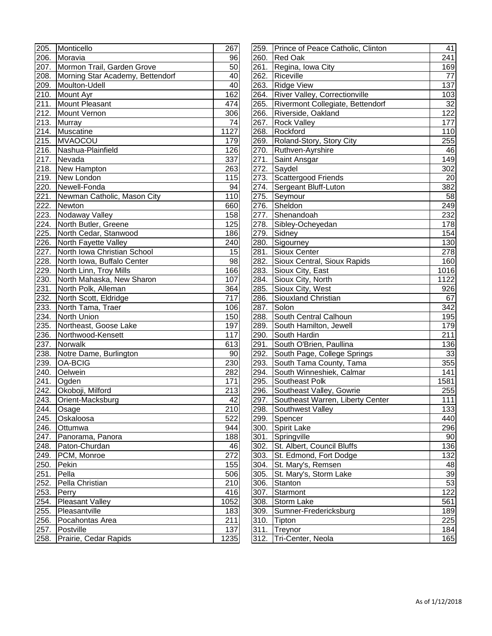| 205.               | Monticello                       | 267       |
|--------------------|----------------------------------|-----------|
| 206.               | Moravia                          | 96        |
| 207.               | Mormon Trail, Garden Grove       | 50        |
| 208.               | Morning Star Academy, Bettendorf | 40        |
| 209.               | Moulton-Udell                    | 40        |
| 210.               | Mount Ayr                        | 162       |
| 211.               | Mount Pleasant                   | 474       |
| 212.               | Mount Vernon                     | 306       |
| 213.               | Murray                           | 74        |
| 214.               | Muscatine                        | 1127      |
| 215.               | <b>MVAOCOU</b>                   | 179       |
| 216.               | Nashua-Plainfield                | 126       |
| 217.               | Nevada                           | 337       |
| 218.               | New Hampton                      | 263       |
| $\overline{2}$ 19. | New London                       | 115       |
| $\overline{220}$ . | Newell-Fonda                     | 94        |
| 221.               | Newman Catholic, Mason City      | 110       |
| 222.               | Newton                           | 660       |
| 223.               | Nodaway Valley                   | 158       |
| 224.               | North Butler, Greene             | 125       |
| 225.               | North Cedar, Stanwood            | 186       |
|                    |                                  |           |
| 226.               | North Fayette Valley             | 240<br>15 |
| 227.               | North Iowa Christian School      |           |
| 228.               | North Iowa, Buffalo Center       | 98        |
| 229.               | North Linn, Troy Mills           | 166       |
| 230.               | North Mahaska, New Sharon        | 107       |
| 231.               | North Polk, Alleman              | 364       |
| 232.               | North Scott, Eldridge            | 717       |
| 233.               | North Tama, Traer                | 106       |
| 234.               | <b>North Union</b>               | 150       |
| 235.               | Northeast, Goose Lake            | 197       |
| 236.               | Northwood-Kensett                | 117       |
| 237.               | Norwalk                          | 613       |
| 238.               | Notre Dame, Burlington           | 90        |
| 239.               | <b>OA-BCIG</b>                   | 230       |
| 240.               | Oelwein                          | 282       |
| 241.               | Ogden                            | 171       |
| 242.               | Okoboji, Milford                 | 213       |
| 243.               | Orient-Macksburg                 | 42        |
| 244.               | Osage                            | 210       |
| 245.               | Oskaloosa                        | 522       |
| 246.               | Ottumwa                          | 944       |
| 247.               | Panorama, Panora                 | 188       |
| 248.               | Paton-Churdan                    | 46        |
| 249.               | PCM, Monroe                      | 272       |
| 250.               | Pekin                            | 155       |
| 251.               | Pella                            | 506       |
| 252.               | Pella Christian                  | 210       |
| 253.               | Perry                            | 416       |
| 254.               | Pleasant Valley                  | 1052      |
| 255.               | Pleasantville                    | 183       |
| 256.               | Pocahontas Area                  | 211       |
| 257.               | Postville                        | 137       |
| 258.               | Prairie, Cedar Rapids            | 1235      |

|             | 205. Monticello                  | 267  |      | 259. Prince of Peace Catholic, Clinton | 41<br>241 |
|-------------|----------------------------------|------|------|----------------------------------------|-----------|
| 206.        | Moravia                          | 96   | 260. | Red Oak                                |           |
|             | 207. Mormon Trail, Garden Grove  | 50   | 261. | Regina, Iowa City                      |           |
| 208.        | Morning Star Academy, Bettendorf | 40   | 262. | Riceville                              |           |
| 209.        | Moulton-Udell                    | 40   | 263. | <b>Ridge View</b>                      | 137       |
| 210.        | Mount Ayr                        | 162  | 264. | <b>River Valley, Correctionville</b>   | 103       |
| 211.        | Mount Pleasant                   | 474  | 265. | Rivermont Collegiate, Bettendorf       | 32        |
| 212.        | Mount Vernon                     | 306  | 266. | Riverside, Oakland                     | 122       |
| 213.        | <b>Murray</b>                    | 74   | 267. | <b>Rock Valley</b>                     | 177       |
| 214.        | Muscatine                        | 1127 | 268. | Rockford                               | 110       |
| 215.        | MVAOCOU                          | 179  | 269. | Roland-Story, Story City               | 255       |
| 216.        | Nashua-Plainfield                | 126  | 270. | Ruthven-Ayrshire                       | 46        |
| 217.        | Nevada                           | 337  | 271. | Saint Ansgar                           | 149       |
| <u>218.</u> | New Hampton                      | 263  | 272. | Saydel                                 | 302       |
| 219.        | New London                       | 115  | 273. | Scattergood Friends                    | 20        |
| 220.        | Newell-Fonda                     | 94   |      | 274. Sergeant Bluff-Luton              | 382       |
| 221.        | Newman Catholic, Mason City      | 110  | 275. | Seymour                                | 58        |
| 222.        | Newton                           | 660  |      | 276. Sheldon                           | 249       |
| 223.        | Nodaway Valley                   | 158  |      | 277. Shenandoah                        | 232       |
| 224.        | North Butler, Greene             | 125  |      | 278. Sibley-Ocheyedan                  | 178       |
| 225.        | North Cedar, Stanwood            | 186  | 279. | Sidney                                 | 154       |
| 226.        | North Fayette Valley             | 240  | 280. | Sigourney                              | 130       |
|             | North Iowa Christian School      | 15   |      | 281. Sioux Center                      | 278       |
| 227.        | North Iowa, Buffalo Center       | 98   | 282. |                                        | 160       |
| 228.        |                                  |      |      | Sioux Central, Sioux Rapids            |           |
| 229.        | North Linn, Troy Mills           | 166  |      | 283. Sioux City, East                  | 1016      |
| 230.        | North Mahaska, New Sharon        | 107  | 284. | Sioux City, North                      | 1122      |
| 231.        | North Polk, Alleman              | 364  | 285. | Sioux City, West                       | 926       |
| 232.        | North Scott, Eldridge            | 717  | 286. | Siouxland Christian                    | 67        |
| 233.        | North Tama, Traer                | 106  |      | 287. Solon                             | 342       |
| 234.        | North Union                      | 150  | 288. | South Central Calhoun                  | 195       |
| 235.        | Northeast, Goose Lake            | 197  | 289. | South Hamilton, Jewell                 | 179       |
| 236.        | Northwood-Kensett                | 117  |      | 290. South Hardin                      | 211       |
| 237.        | Norwalk                          | 613  | 291. | South O'Brien, Paullina                | 136       |
| 238.        | Notre Dame, Burlington           | 90   | 292. | South Page, College Springs            | 33        |
| 239.        | <b>OA-BCIG</b>                   | 230  | 293. | South Tama County, Tama                | 355       |
| 240.        | Oelwein                          | 282  | 294. | South Winneshiek, Calmar               | 741       |
| 241.        | Ogden                            | 171  | 295. | Southeast Polk                         | 1581      |
| 242.        | Okoboji, Milford                 | 213  |      | 296. Southeast Valley, Gowrie          | 255       |
| 243.        | Orient-Macksburg                 | 42   |      | 297. Southeast Warren, Liberty Center  | 111       |
|             | 244. Osage                       | 210  |      | 298. Southwest Valley                  | 133       |
| 245.        | Oskaloosa                        | 522  | 299. | Spencer                                | 440       |
| 246.        | Ottumwa                          | 944  |      | 300. Spirit Lake                       | 296       |
| 247.        | Panorama, Panora                 | 188  |      | 301. Springville                       | 90        |
| 248.        | Paton-Churdan                    | 46   |      | 302. St. Albert, Council Bluffs        | 136       |
| 249.        | PCM, Monroe                      | 272  |      | 303. St. Edmond, Fort Dodge            | 132       |
| 250.        | Pekin                            | 155  |      | 304. St. Mary's, Remsen                | 48        |
| 251.        | Pella                            | 506  |      | 305. St. Mary's, Storm Lake            | 39        |
| 252.        | Pella Christian                  | 210  | 306. | Stanton                                | 53        |
| 253.        | Perry                            | 416  | 307. | Starmont                               | 122       |
| 254.        | Pleasant Valley                  | 1052 | 308. | Storm Lake                             | 561       |
| 255.        | Pleasantville                    | 183  | 309. | Sumner-Fredericksburg                  | 189       |
| 256.        | Pocahontas Area                  | 211  | 310. | Tipton                                 | 225       |
| 257.        | Postville                        | 137  |      | 311. Treynor                           | 184       |
| 258.        | Prairie, Cedar Rapids            | 1235 |      | 312. Tri-Center, Neola                 | 165       |
|             |                                  |      |      |                                        |           |